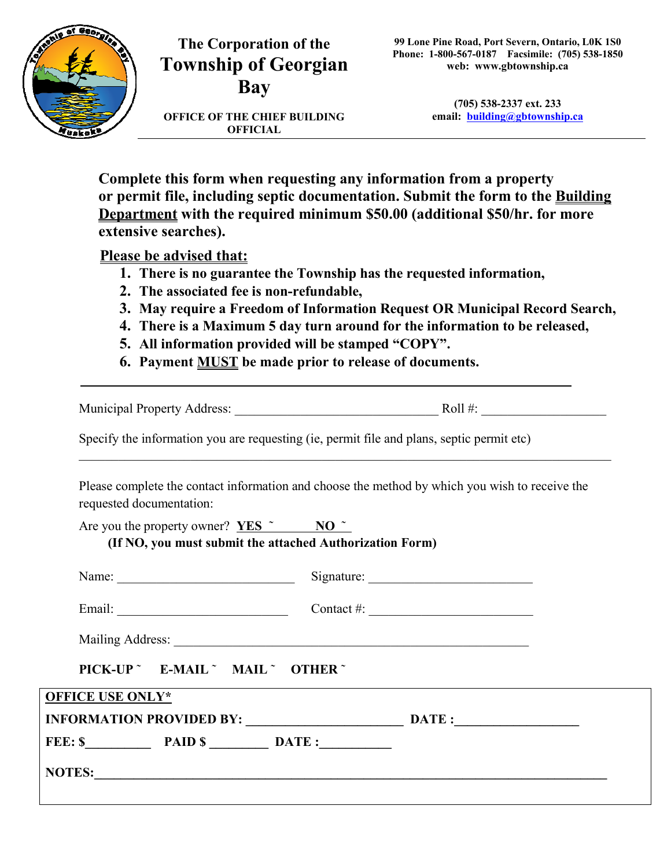

## **The Corporation of the Township of Georgian Bay**

**OFFICE OF THE CHIEF BUILDING OFFICIAL** 

**(705) 538-2337 ext. 233 email: building@gbtownship.ca**

**Complete this form when requesting any information from a property or permit file, including septic documentation. Submit the form to the Building Department with the required minimum \$50.00 (additional \$50/hr. for more extensive searches).**

**Please be advised that:**

- **1. There is no guarantee the Township has the requested information,**
- **2. The associated fee is non-refundable,**
- **3. May require a Freedom of Information Request OR Municipal Record Search,**
- **4. There is a Maximum 5 day turn around for the information to be released,**
- **5. All information provided will be stamped "COPY".**
- **6. Payment MUST be made prior to release of documents.**

Municipal Property Address:  $Roll \#$ :

\_\_\_\_\_\_\_\_\_\_\_\_\_\_\_\_\_\_\_\_\_\_\_\_\_\_\_\_\_\_\_\_\_\_\_\_\_\_\_\_\_\_\_\_\_\_\_\_\_\_\_\_\_\_\_\_\_\_\_\_\_\_\_\_\_\_\_\_\_\_\_\_\_\_\_\_\_\_\_\_\_

Specify the information you are requesting (ie, permit file and plans, septic permit etc)

Please complete the contact information and choose the method by which you wish to receive the requested documentation:

|                         | Are you the property owner? $YES^{\sim}$ NO $\sim$       | (If NO, you must submit the attached Authorization Form) |                            |  |
|-------------------------|----------------------------------------------------------|----------------------------------------------------------|----------------------------|--|
|                         |                                                          |                                                          |                            |  |
|                         | Name: $\frac{1}{\sqrt{1-\frac{1}{2}} \cdot \frac{1}{2}}$ |                                                          |                            |  |
|                         |                                                          |                                                          | Contact #: $\qquad \qquad$ |  |
|                         |                                                          |                                                          |                            |  |
|                         | PICK-UP ~ E-MAIL ~ MAIL ~ OTHER ~                        |                                                          |                            |  |
| <b>OFFICE USE ONLY*</b> |                                                          |                                                          |                            |  |
|                         |                                                          |                                                          |                            |  |
|                         |                                                          | FEE: \$ PAID \$ DATE:                                    |                            |  |
|                         |                                                          |                                                          | NOTES:                     |  |
|                         |                                                          |                                                          |                            |  |